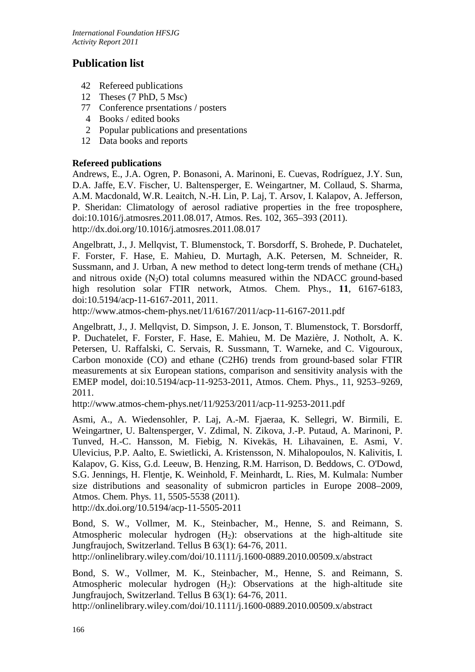# **Publication list**

- 42 Refereed publications
- 12 Theses (7 PhD, 5 Msc)
- 77 Conference prsentations / posters
- 4 Books / edited books
- 2 Popular publications and presentations
- 12 Data books and reports

## **Refereed publications**

Andrews, E., J.A. Ogren, P. Bonasoni, A. Marinoni, E. Cuevas, Rodríguez, J.Y. Sun, D.A. Jaffe, E.V. Fischer, U. Baltensperger, E. Weingartner, M. Collaud, S. Sharma, A.M. Macdonald, W.R. Leaitch, N.-H. Lin, P. Laj, T. Arsov, I. Kalapov, A. Jefferson, P. Sheridan: Climatology of aerosol radiative properties in the free troposphere, doi:10.1016/j.atmosres.2011.08.017, Atmos. Res. 102, 365–393 (2011). <http://dx.doi.org/10.1016/j.atmosres.2011.08.017>

Angelbratt, J., J. Mellqvist, T. Blumenstock, T. Borsdorff, S. Brohede, P. Duchatelet, F. Forster, F. Hase, E. Mahieu, D. Murtagh, A.K. Petersen, M. Schneider, R. Sussmann, and J. Urban, A new method to detect long-term trends of methane  $(CH<sub>4</sub>)$ and nitrous oxide  $(N_2O)$  total columns measured within the NDACC ground-based high resolution solar FTIR network, Atmos. Chem. Phys., **11**, 6167-6183, doi:10.5194/acp-11-6167-2011, 2011.

http://www.atmos-chem-phys.net/11/6167/2011/acp-11-6167-2011.pdf

Angelbratt, J., J. Mellqvist, D. Simpson, J. E. Jonson, T. Blumenstock, T. Borsdorff, P. Duchatelet, F. Forster, F. Hase, E. Mahieu, M. De Mazière, J. Notholt, A. K. Petersen, U. Raffalski, C. Servais, R. Sussmann, T. Warneke, and C. Vigouroux, Carbon monoxide (CO) and ethane (C2H6) trends from ground-based solar FTIR measurements at six European stations, comparison and sensitivity analysis with the EMEP model, doi:10.5194/acp-11-9253-2011, Atmos. Chem. Phys., 11, 9253–9269, 2011.

<http://www.atmos-chem-phys.net/11/9253/2011/acp-11-9253-2011.pdf>

Asmi, A., A. Wiedensohler, P. Laj, A.-M. Fjaeraa, K. Sellegri, W. Birmili, E. Weingartner, U. Baltensperger, V. Zdimal, N. Zikova, J.-P. Putaud, A. Marinoni, P. Tunved, H.-C. Hansson, M. Fiebig, N. Kivekäs, H. Lihavainen, E. Asmi, V. Ulevicius, P.P. Aalto, E. Swietlicki, A. Kristensson, N. Mihalopoulos, N. Kalivitis, I. Kalapov, G. Kiss, G.d. Leeuw, B. Henzing, R.M. Harrison, D. Beddows, C. O'Dowd, S.G. Jennings, H. Flentje, K. Weinhold, F. Meinhardt, L. Ries, M. Kulmala: Number size distributions and seasonality of submicron particles in Europe 2008–2009, Atmos. Chem. Phys. 11, 5505-5538 (2011).

http://dx.doi.org/10.5194/acp-11-5505-2011

Bond, S. W., Vollmer, M. K., Steinbacher, M., Henne, S. and Reimann, S. Atmospheric molecular hydrogen  $(H_2)$ : observations at the high-altitude site Jungfraujoch, Switzerland. Tellus B 63(1): 64-76, 2011.

<http://onlinelibrary.wiley.com/doi/10.1111/j.1600-0889.2010.00509.x/abstract>

Bond, S. W., Vollmer, M. K., Steinbacher, M., Henne, S. and Reimann, S. Atmospheric molecular hydrogen  $(H<sub>2</sub>)$ : Observations at the high-altitude site Jungfraujoch, Switzerland. Tellus B 63(1): 64-76, 2011.

http://onlinelibrary.wiley.com/doi/10.1111/j.1600-0889.2010.00509.x/abstract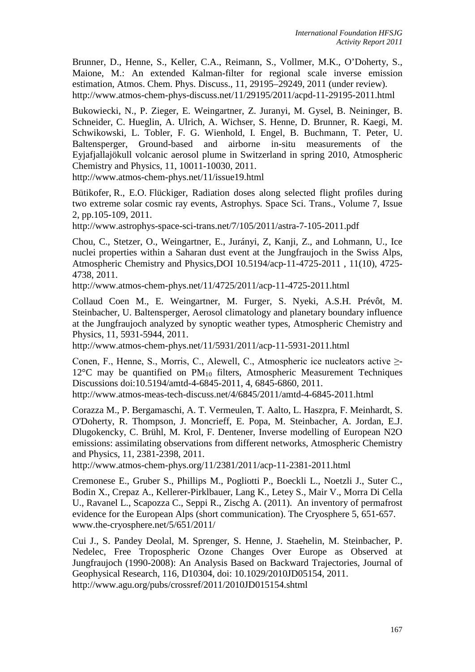Brunner, D., Henne, S., Keller, C.A., Reimann, S., Vollmer, M.K., O'Doherty, S., Maione, M.: An extended Kalman-filter for regional scale inverse emission estimation, Atmos. Chem. Phys. Discuss., 11, 29195–29249, 2011 (under review). <http://www.atmos-chem-phys-discuss.net/11/29195/2011/acpd-11-29195-2011.html>

Bukowiecki, N., P. Zieger, E. Weingartner, Z. Juranyi, M. Gysel, B. Neininger, B. Schneider, C. Hueglin, A. Ulrich, A. Wichser, S. Henne, D. Brunner, R. Kaegi, M. Schwikowski, L. Tobler, F. G. Wienhold, I. Engel, B. Buchmann, T. Peter, U. Baltensperger, Ground-based and airborne in-situ measurements of the Eyjafjallajökull volcanic aerosol plume in Switzerland in spring 2010, Atmospheric Chemistry and Physics, 11, 10011-10030, 2011.

http://www.atmos-chem-phys.net/11/issue19.html

Bütikofer, R., E.O. Flückiger, Radiation doses along selected flight profiles during two extreme solar cosmic ray events, Astrophys. Space Sci. Trans., Volume 7, Issue 2, pp.105-109, 2011.

http://www.astrophys-space-sci-trans.net/7/105/2011/astra-7-105-2011.pdf

Chou, C., Stetzer, O., Weingartner, E., Jurányi, Z, Kanji, Z., and Lohmann, U., Ice nuclei properties within a Saharan dust event at the Jungfraujoch in the Swiss Alps, Atmospheric Chemistry and Physics,DOI 10.5194/acp-11-4725-2011 , 11(10), 4725- 4738, 2011.

http://www.atmos-chem-phys.net/11/4725/2011/acp-11-4725-2011.html

Collaud Coen M., E. Weingartner, M. Furger, S. Nyeki, A.S.H. Prévôt, M. Steinbacher, U. Baltensperger, Aerosol climatology and planetary boundary influence at the Jungfraujoch analyzed by synoptic weather types, Atmospheric Chemistry and Physics, 11, 5931-5944, 2011.

http://www.atmos-chem-phys.net/11/5931/2011/acp-11-5931-2011.html

Conen, F., Henne, S., Morris, C., Alewell, C., Atmospheric ice nucleators active ≥-  $12^{\circ}$ C may be quantified on PM<sub>10</sub> filters, Atmospheric Measurement Techniques Discussions doi:10.5194/amtd-4-6845-2011, 4, 6845-6860, 2011.

http://www.atmos-meas-tech-discuss.net/4/6845/2011/amtd-4-6845-2011.html

Corazza M., P. Bergamaschi, A. T. Vermeulen, T. Aalto, L. Haszpra, F. Meinhardt, S. O'Doherty, R. Thompson, J. Moncrieff, E. Popa, M. Steinbacher, A. Jordan, E.J. Dlugokencky, C. Brühl, M. Krol, F. Dentener, Inverse modelling of European N2O emissions: assimilating observations from different networks, Atmospheric Chemistry and Physics, 11, 2381-2398, 2011.

http://www.atmos-chem-phys.org/11/2381/2011/acp-11-2381-2011.html

Cremonese E., Gruber S., Phillips M., Pogliotti P., Boeckli L., Noetzli J., Suter C., Bodin X., Crepaz A., Kellerer-Pirklbauer, Lang K., Letey S., Mair V., Morra Di Cella U., Ravanel L., Scapozza C., Seppi R., Zischg A. (2011). An inventory of permafrost evidence for the European Alps (short communication). The Cryosphere 5, 651-657. www.the-cryosphere.net/5/651/2011/

Cui J., S. Pandey Deolal, M. Sprenger, S. Henne, J. Staehelin, M. Steinbacher, P. Nedelec, Free Tropospheric Ozone Changes Over Europe as Observed at Jungfraujoch (1990-2008): An Analysis Based on Backward Trajectories, Journal of Geophysical Research, 116, D10304, doi: 10.1029/2010JD05154, 2011. http://www.agu.org/pubs/crossref/2011/2010JD015154.shtml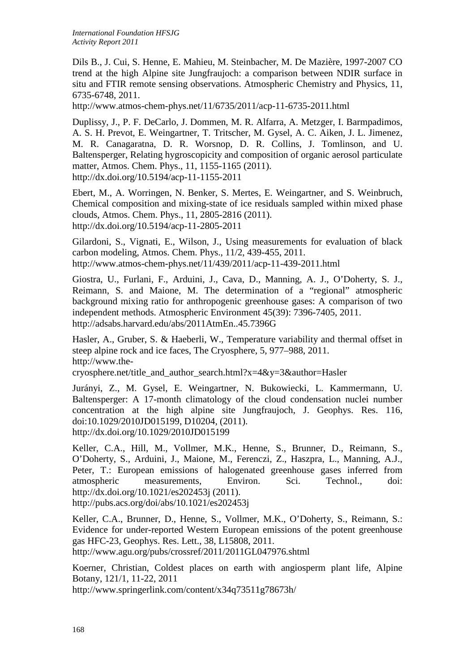Dils B., J. Cui, S. Henne, E. Mahieu, M. Steinbacher, M. De Mazière, 1997-2007 CO trend at the high Alpine site Jungfraujoch: a comparison between NDIR surface in situ and FTIR remote sensing observations. Atmospheric Chemistry and Physics, 11, 6735-6748, 2011.

<http://www.atmos-chem-phys.net/11/6735/2011/acp-11-6735-2011.html>

Duplissy, J., P. F. DeCarlo, J. Dommen, M. R. Alfarra, A. Metzger, I. Barmpadimos, A. S. H. Prevot, E. Weingartner, T. Tritscher, M. Gysel, A. C. Aiken, J. L. Jimenez, M. R. Canagaratna, D. R. Worsnop, D. R. Collins, J. Tomlinson, and U. Baltensperger, Relating hygroscopicity and composition of organic aerosol particulate matter, Atmos. Chem. Phys., 11, 1155-1165 (2011). http://dx.doi.org/10.5194/acp-11-1155-2011

Ebert, M., A. Worringen, N. Benker, S. Mertes, E. Weingartner, and S. Weinbruch, Chemical composition and mixing-state of ice residuals sampled within mixed phase clouds, Atmos. Chem. Phys., 11, 2805-2816 (2011). http://dx.doi.org/10.5194/acp-11-2805-2011

Gilardoni, S., Vignati, E., Wilson, J., Using measurements for evaluation of black carbon modeling, Atmos. Chem. Phys., 11/2, 439-455, 2011. http://www.atmos-chem-phys.net/11/439/2011/acp-11-439-2011.html

Giostra, U., Furlani, F., Arduini, J., Cava, D., Manning, A. J., O'Doherty, S. J., Reimann, S. and Maione, M. The determination of a "regional" atmospheric background mixing ratio for anthropogenic greenhouse gases: A comparison of two independent methods. Atmospheric Environment 45(39): 7396-7405, 2011. http://adsabs.harvard.edu/abs/2011AtmEn..45.7396G

Hasler, A., Gruber, S. & Haeberli, W., Temperature variability and thermal offset in steep alpine rock and ice faces, The Cryosphere, 5, 977–988, 2011. http://www.the-

cryosphere.net/title\_and\_author\_search.html?x=4&y=3&author=Hasler

Jurányi, Z., M. Gysel, E. Weingartner, N. Bukowiecki, L. Kammermann, U. Baltensperger: A 17-month climatology of the cloud condensation nuclei number concentration at the high alpine site Jungfraujoch, J. Geophys. Res. 116, doi:10.1029/2010JD015199, D10204, (2011). http://dx.doi.org/10.1029/2010JD015199

Keller, C.A., Hill, M., Vollmer, M.K., Henne, S., Brunner, D., Reimann, S., O'Doherty, S., Arduini, J., Maione, M., Ferenczi, Z., Haszpra, L., Manning, A.J., Peter, T.: European emissions of halogenated greenhouse gases inferred from atmospheric measurements, Environ. Sci. Technol., doi: http://dx.doi.org/10.1021/es202453j (2011). http://pubs.acs.org/doi/abs/10.1021/es202453j

Keller, C.A., Brunner, D., Henne, S., Vollmer, M.K., O'Doherty, S., Reimann, S.: Evidence for under-reported Western European emissions of the potent greenhouse gas HFC-23, Geophys. Res. Lett., 38, L15808, 2011. http://www.agu.org/pubs/crossref/2011/2011GL047976.shtml

Koerner, Christian, Coldest places on earth with angiosperm plant life, Alpine

Botany, 121/1, 11-22, 2011

http://www.springerlink.com/content/x34q73511g78673h/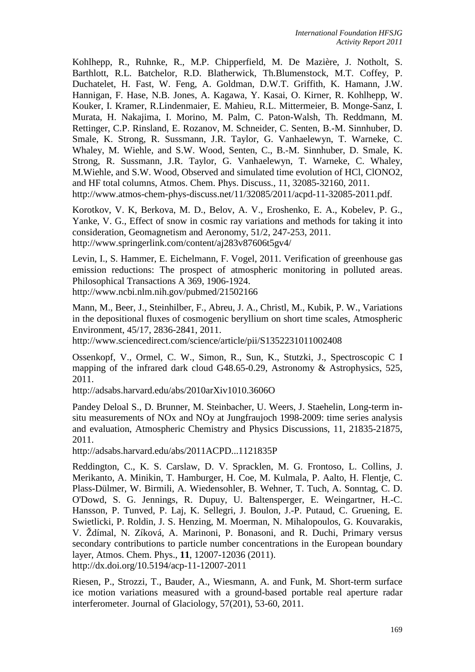Kohlhepp, R., Ruhnke, R., M.P. Chipperfield, M. De Mazière, J. Notholt, S. Barthlott, R.L. Batchelor, R.D. Blatherwick, Th.Blumenstock, M.T. Coffey, P. Duchatelet, H. Fast, W. Feng, A. Goldman, D.W.T. Griffith, K. Hamann, J.W. Hannigan, F. Hase, N.B. Jones, A. Kagawa, Y. Kasai, O. Kirner, R. Kohlhepp, W. Kouker, I. Kramer, R.Lindenmaier, E. Mahieu, R.L. Mittermeier, B. Monge-Sanz, I. Murata, H. Nakajima, I. Morino, M. Palm, C. Paton-Walsh, Th. Reddmann, M. Rettinger, C.P. Rinsland, E. Rozanov, M. Schneider, C. Senten, B.-M. Sinnhuber, D. Smale, K. Strong, R. Sussmann, J.R. Taylor, G. Vanhaelewyn, T. Warneke, C. Whaley, M. Wiehle, and S.W. Wood, Senten, C., B.-M. Sinnhuber, D. Smale, K. Strong, R. Sussmann, J.R. Taylor, G. Vanhaelewyn, T. Warneke, C. Whaley, M.Wiehle, and S.W. Wood, Observed and simulated time evolution of HCl, ClONO2, and HF total columns, Atmos. Chem. Phys. Discuss., 11, 32085-32160, 2011. <http://www.atmos-chem-phys-discuss.net/11/32085/2011/acpd-11-32085-2011.pdf.>

Korotkov, V. K, Berkova, M. D., Belov, A. V., Eroshenko, E. A., Kobelev, P. G., Yanke, V. G., Effect of snow in cosmic ray variations and methods for taking it into consideration, Geomagnetism and Aeronomy, 51/2, 247-253, 2011. http://www.springerlink.com/content/aj283v87606t5gv4/

Levin, I., S. Hammer, E. Eichelmann, F. Vogel, 2011. Verification of greenhouse gas emission reductions: The prospect of atmospheric monitoring in polluted areas. Philosophical Transactions A 369, 1906-1924. http://www.ncbi.nlm.nih.gov/pubmed/21502166

Mann, M., Beer, J., Steinhilber, F., Abreu, J. A., Christl, M., Kubik, P. W., Variations in the depositional fluxes of cosmogenic beryllium on short time scales, Atmospheric Environment, 45/17, 2836-2841, 2011.

http://www.sciencedirect.com/science/article/pii/S1352231011002408

Ossenkopf, V., Ormel, C. W., Simon, R., Sun, K., Stutzki, J., Spectroscopic C I mapping of the infrared dark cloud G48.65-0.29, Astronomy & Astrophysics, 525, 2011.

http://adsabs.harvard.edu/abs/2010arXiv1010.3606O

Pandey Deloal S., D. Brunner, M. Steinbacher, U. Weers, J. Staehelin, Long-term insitu measurements of NOx and NOy at Jungfraujoch 1998-2009: time series analysis and evaluation, Atmospheric Chemistry and Physics Discussions, 11, 21835-21875, 2011.

http://adsabs.harvard.edu/abs/2011ACPD...1121835P

Reddington, C., K. S. Carslaw, D. V. Spracklen, M. G. Frontoso, L. Collins, J. Merikanto, A. Minikin, T. Hamburger, H. Coe, M. Kulmala, P. Aalto, H. Flentje, C. Plass-Dülmer, W. Birmili, A. Wiedensohler, B. Wehner, T. Tuch, A. Sonntag, C. D. O'Dowd, S. G. Jennings, R. Dupuy, U. Baltensperger, E. Weingartner, H.-C. Hansson, P. Tunved, P. Laj, K. Sellegri, J. Boulon, J.-P. Putaud, C. Gruening, E. Swietlicki, P. Roldin, J. S. Henzing, M. Moerman, N. Mihalopoulos, G. Kouvarakis, V. Ždímal, N. Zíková, A. Marinoni, P. Bonasoni, and R. Duchi, Primary versus secondary contributions to particle number concentrations in the European boundary layer, Atmos. Chem. Phys., **11**, 12007-12036 (2011). http://dx.doi.org/10.5194/acp-11-12007-2011

Riesen, P., Strozzi, T., Bauder, A., Wiesmann, A. and Funk, M. Short-term surface ice motion variations measured with a ground-based portable real aperture radar interferometer. Journal of Glaciology, 57(201), 53-60, 2011.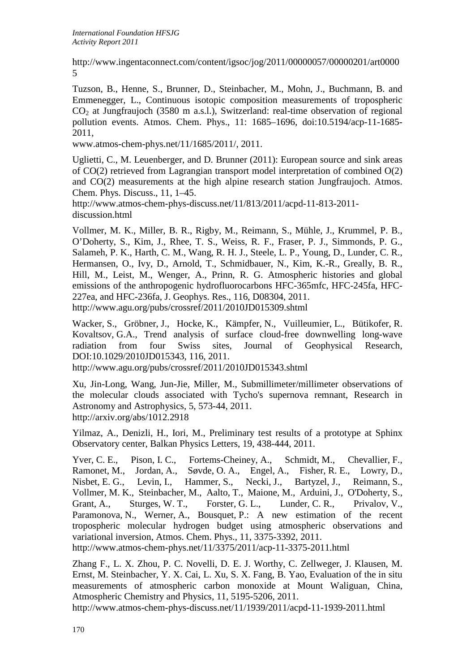[http://www.ingentaconnect.com/content/igsoc/jog/2011/00000057/00000201/art0000](http://www.ingentaconnect.com/content/igsoc/jog/2011/00000057/00000201/art00005) [5](http://www.ingentaconnect.com/content/igsoc/jog/2011/00000057/00000201/art00005)

Tuzson, B., Henne, S., Brunner, D., Steinbacher, M., Mohn, J., Buchmann, B. and Emmenegger, L., Continuous isotopic composition measurements of tropospheric  $CO<sub>2</sub>$  at Jungfraujoch (3580 m a.s.l.), Switzerland: real-time observation of regional pollution events. Atmos. Chem. Phys., 11: 1685–1696, doi:10.5194/acp-11-1685- 2011,

www.atmos-chem-phys.net/11/1685/2011/, 2011.

Uglietti, C., M. Leuenberger, and D. Brunner (2011): European source and sink areas of CO(2) retrieved from Lagrangian transport model interpretation of combined O(2) and CO(2) measurements at the high alpine research station Jungfraujoch. Atmos. Chem. Phys. Discuss., 11, 1–45.

http://www.atmos-chem-phys-discuss.net/11/813/2011/acpd-11-813-2011 discussion.html

Vollmer, M. K., Miller, B. R., Rigby, M., Reimann, S., Mühle, J., Krummel, P. B., O'Doherty, S., Kim, J., Rhee, T. S., Weiss, R. F., Fraser, P. J., Simmonds, P. G., Salameh, P. K., Harth, C. M., Wang, R. H. J., Steele, L. P., Young, D., Lunder, C. R., Hermansen, O., Ivy, D., Arnold, T., Schmidbauer, N., Kim, K.-R., Greally, B. R., Hill, M., Leist, M., Wenger, A., Prinn, R. G. Atmospheric histories and global emissions of the anthropogenic hydrofluorocarbons HFC-365mfc, HFC-245fa, HFC-227ea, and HFC-236fa, J. Geophys. Res., 116, D08304, 2011. http://www.agu.org/pubs/crossref/2011/2010JD015309.shtml

Wacker, S., Gröbner, J., Hocke, K., Kämpfer, N., Vuilleumier, L., Bütikofer, R. Kovaltsov, G.A., Trend analysis of surface cloud-free downwelling long-wave radiation from four Swiss sites, Journal of Geophysical Research, DOI:10.1029/2010JD015343, 116, 2011.

http://www.agu.org/pubs/crossref/2011/2010JD015343.shtml

Xu, Jin-Long, Wang, Jun-Jie, Miller, M., Submillimeter/millimeter observations of the molecular clouds associated with Tycho's supernova remnant, Research in Astronomy and Astrophysics, 5, 573-44, 2011. http://arxiv.org/abs/1012.2918

Yilmaz, A., Denizli, H., Iori, M., Preliminary test results of a prototype at Sphinx Observatory center, Balkan Physics Letters, 19, 438-444, 2011.

Yver, C. E., Pison, I. C., Fortems-Cheiney, A., Schmidt, M., Chevallier, F., Ramonet, M., Jordan, A., Søvde, O. A., Engel, A., Fisher, R. E., Lowry, D., Nisbet, E. G., Levin, I., Hammer, S., Necki, J., Bartyzel, J., Reimann, S., Vollmer, M. K., Steinbacher, M., Aalto, T., Maione, M., Arduini, J., O'Doherty, S., Grant, A., Sturges, W. T., Forster, G. L., Lunder, C. R., Privalov, V., Paramonova, N., Werner, A., Bousquet, P.: A new estimation of the recent tropospheric molecular hydrogen budget using atmospheric observations and variational inversion, Atmos. Chem. Phys., 11, 3375-3392, 2011.

http://www.atmos-chem-phys.net/11/3375/2011/acp-11-3375-2011.html

Zhang F., L. X. Zhou, P. C. Novelli, D. E. J. Worthy, C. Zellweger, J. Klausen, M. Ernst, M. Steinbacher, Y. X. Cai, L. Xu, S. X. Fang, B. Yao, Evaluation of the in situ measurements of atmospheric carbon monoxide at Mount Waliguan, China, Atmospheric Chemistry and Physics, 11, 5195-5206, 2011.

<http://www.atmos-chem-phys-discuss.net/11/1939/2011/acpd-11-1939-2011.html>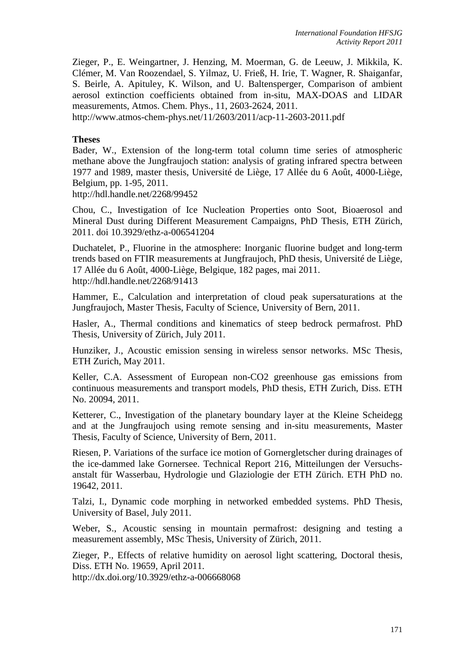Zieger, P., E. Weingartner, J. Henzing, M. Moerman, G. de Leeuw, J. Mikkila, K. Clémer, M. Van Roozendael, S. Yilmaz, U. Frieß, H. Irie, T. Wagner, R. Shaiganfar, S. Beirle, A. Apituley, K. Wilson, and U. Baltensperger, Comparison of ambient aerosol extinction coefficients obtained from in-situ, MAX-DOAS and LIDAR measurements, Atmos. Chem. Phys., 11, 2603-2624, 2011.

http://www.atmos-chem-phys.net/11/2603/2011/acp-11-2603-2011.pdf

#### **Theses**

Bader, W., Extension of the long-term total column time series of atmospheric methane above the Jungfraujoch station: analysis of grating infrared spectra between 1977 and 1989, master thesis, Université de Liège, 17 Allée du 6 Août, 4000-Liège, Belgium, pp. 1-95, 2011.

<http://hdl.handle.net/2268/99452>

Chou, C., Investigation of Ice Nucleation Properties onto Soot, Bioaerosol and Mineral Dust during Different Measurement Campaigns, PhD Thesis, ETH Zürich, 2011. doi 10.3929/ethz-a-006541204

Duchatelet, P., Fluorine in the atmosphere: Inorganic fluorine budget and long-term trends based on FTIR measurements at Jungfraujoch, PhD thesis, Université de Liège, 17 Allée du 6 Août, 4000-Liège, Belgique, 182 pages, mai 2011. <http://hdl.handle.net/2268/91413>

Hammer, E., Calculation and interpretation of cloud peak supersaturations at the Jungfraujoch, Master Thesis, Faculty of Science, University of Bern, 2011.

Hasler, A., Thermal conditions and kinematics of steep bedrock permafrost. PhD Thesis, University of Zürich, July 2011.

Hunziker, J., Acoustic emission sensing in wireless sensor networks. MSc Thesis, ETH Zurich, May 2011.

Keller, C.A. Assessment of European non-CO2 greenhouse gas emissions from continuous measurements and transport models, PhD thesis, ETH Zurich, Diss. ETH No. 20094, 2011.

Ketterer, C., Investigation of the planetary boundary layer at the Kleine Scheidegg and at the Jungfraujoch using remote sensing and in-situ measurements, Master Thesis, Faculty of Science, University of Bern, 2011.

Riesen, P. Variations of the surface ice motion of Gornergletscher during drainages of the ice-dammed lake Gornersee. Technical Report 216, Mitteilungen der Versuchsanstalt für Wasserbau, Hydrologie und Glaziologie der ETH Zürich. ETH PhD no. 19642, 2011.

Talzi, I., Dynamic code morphing in networked embedded systems. PhD Thesis, University of Basel, July 2011.

Weber, S., Acoustic sensing in mountain permafrost: designing and testing a measurement assembly, MSc Thesis, University of Zürich, 2011.

Zieger, P., Effects of relative humidity on aerosol light scattering, Doctoral thesis, Diss. ETH No. 19659, April 2011.

http://dx.doi.org/10.3929/ethz-a-006668068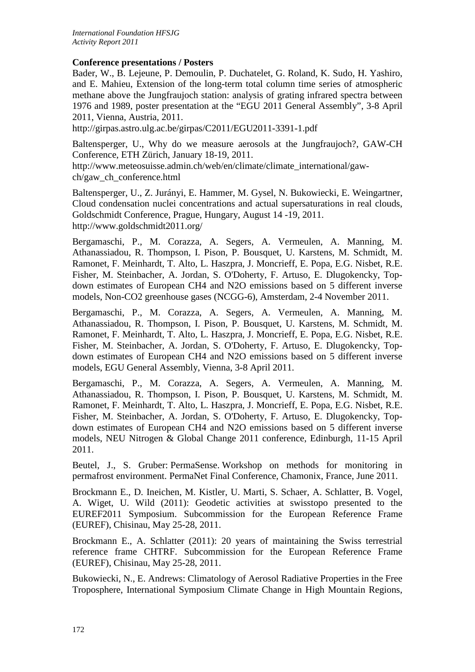### **Conference presentations / Posters**

Bader, W., B. Lejeune, P. Demoulin, P. Duchatelet, G. Roland, K. Sudo, H. Yashiro, and E. Mahieu, Extension of the long-term total column time series of atmospheric methane above the Jungfraujoch station: analysis of grating infrared spectra between 1976 and 1989, poster presentation at the "EGU 2011 General Assembly", 3-8 April 2011, Vienna, Austria, 2011.

<http://girpas.astro.ulg.ac.be/girpas/C2011/EGU2011-3391-1.pdf>

Baltensperger, U., Why do we measure aerosols at the Jungfraujoch?, GAW-CH Conference, ETH Zürich, January 18-19, 2011.

http://www.meteosuisse.admin.ch/web/en/climate/climate\_international/gawch/gaw\_ch\_conference.html

Baltensperger, U., Z. Jurányi, E. Hammer, M. Gysel, N. Bukowiecki, E. Weingartner, Cloud condensation nuclei concentrations and actual supersaturations in real clouds, Goldschmidt Conference, Prague, Hungary, August 14 -19, 2011. http://www.goldschmidt2011.org/

Bergamaschi, P., M. Corazza, A. Segers, A. Vermeulen, A. Manning, M. Athanassiadou, R. Thompson, I. Pison, P. Bousquet, U. Karstens, M. Schmidt, M. Ramonet, F. Meinhardt, T. Alto, L. Haszpra, J. Moncrieff, E. Popa, E.G. Nisbet, R.E. Fisher, M. Steinbacher, A. Jordan, S. O'Doherty, F. Artuso, E. Dlugokencky, Topdown estimates of European CH4 and N2O emissions based on 5 different inverse models, Non-CO2 greenhouse gases (NCGG-6), Amsterdam, 2-4 November 2011.

Bergamaschi, P., M. Corazza, A. Segers, A. Vermeulen, A. Manning, M. Athanassiadou, R. Thompson, I. Pison, P. Bousquet, U. Karstens, M. Schmidt, M. Ramonet, F. Meinhardt, T. Alto, L. Haszpra, J. Moncrieff, E. Popa, E.G. Nisbet, R.E. Fisher, M. Steinbacher, A. Jordan, S. O'Doherty, F. Artuso, E. Dlugokencky, Topdown estimates of European CH4 and N2O emissions based on 5 different inverse models, EGU General Assembly, Vienna, 3-8 April 2011.

Bergamaschi, P., M. Corazza, A. Segers, A. Vermeulen, A. Manning, M. Athanassiadou, R. Thompson, I. Pison, P. Bousquet, U. Karstens, M. Schmidt, M. Ramonet, F. Meinhardt, T. Alto, L. Haszpra, J. Moncrieff, E. Popa, E.G. Nisbet, R.E. Fisher, M. Steinbacher, A. Jordan, S. O'Doherty, F. Artuso, E. Dlugokencky, Topdown estimates of European CH4 and N2O emissions based on 5 different inverse models, NEU Nitrogen & Global Change 2011 conference, Edinburgh, 11-15 April 2011.

Beutel, J., S. Gruber: PermaSense. Workshop on methods for monitoring in permafrost environment. PermaNet Final Conference, Chamonix, France, June 2011.

Brockmann E., D. Ineichen, M. Kistler, U. Marti, S. Schaer, A. Schlatter, B. Vogel, A. Wiget, U. Wild (2011): Geodetic activities at swisstopo presented to the EUREF2011 Symposium. Subcommission for the European Reference Frame (EUREF), Chisinau, May 25-28, 2011.

Brockmann E., A. Schlatter (2011): 20 years of maintaining the Swiss terrestrial reference frame CHTRF. Subcommission for the European Reference Frame (EUREF), Chisinau, May 25-28, 2011.

Bukowiecki, N., E. Andrews: Climatology of Aerosol Radiative Properties in the Free Troposphere, International Symposium Climate Change in High Mountain Regions,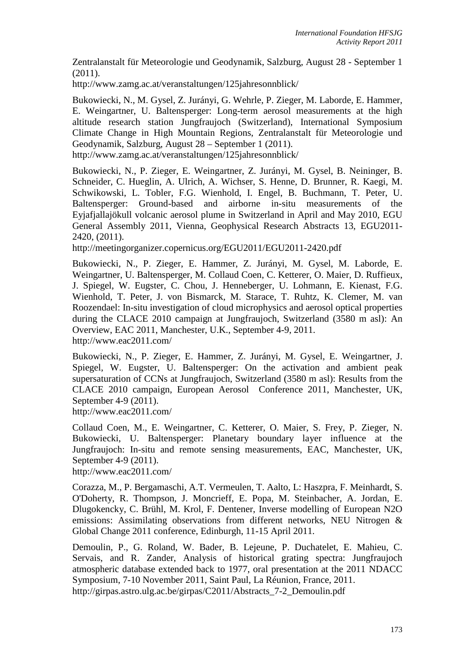Zentralanstalt für Meteorologie und Geodynamik, Salzburg, August 28 - September 1 (2011).

http://www.zamg.ac.at/veranstaltungen/125jahresonnblick/

Bukowiecki, N., M. Gysel, Z. Jurányi, G. Wehrle, P. Zieger, M. Laborde, E. Hammer, E. Weingartner, U. Baltensperger: Long-term aerosol measurements at the high altitude research station Jungfraujoch (Switzerland), International Symposium Climate Change in High Mountain Regions, Zentralanstalt für Meteorologie und Geodynamik, Salzburg, August 28 – September 1 (2011). http://www.zamg.ac.at/veranstaltungen/125jahresonnblick/

Bukowiecki, N., P. Zieger, E. Weingartner, Z. Jurányi, M. Gysel, B. Neininger, B. Schneider, C. Hueglin, A. Ulrich, A. Wichser, S. Henne, D. Brunner, R. Kaegi, M. Schwikowski, L. Tobler, F.G. Wienhold, I. Engel, B. Buchmann, T. Peter, U. Baltensperger: Ground-based and airborne in-situ measurements of the Eyjafjallajökull volcanic aerosol plume in Switzerland in April and May 2010, EGU General Assembly 2011, Vienna, Geophysical Research Abstracts 13, EGU2011-

2420, (2011).

http://meetingorganizer.copernicus.org/EGU2011/EGU2011-2420.pdf

Bukowiecki, N., P. Zieger, E. Hammer, Z. Jurányi, M. Gysel, M. Laborde, E. Weingartner, U. Baltensperger, M. Collaud Coen, C. Ketterer, O. Maier, D. Ruffieux, J. Spiegel, W. Eugster, C. Chou, J. Henneberger, U. Lohmann, E. Kienast, F.G. Wienhold, T. Peter, J. von Bismarck, M. Starace, T. Ruhtz, K. Clemer, M. van Roozendael: In-situ investigation of cloud microphysics and aerosol optical properties during the CLACE 2010 campaign at Jungfraujoch, Switzerland (3580 m asl): An Overview, EAC 2011, Manchester, U.K., September 4-9, 2011. http://www.eac2011.com/

Bukowiecki, N., P. Zieger, E. Hammer, Z. Jurányi, M. Gysel, E. Weingartner, J. Spiegel, W. Eugster, U. Baltensperger: On the activation and ambient peak supersaturation of CCNs at Jungfraujoch, Switzerland (3580 m asl): Results from the CLACE 2010 campaign, European Aerosol Conference 2011, Manchester, UK, September 4-9 (2011).

http://www.eac2011.com/

Collaud Coen, M., E. Weingartner, C. Ketterer, O. Maier, S. Frey, P. Zieger, N. Bukowiecki, U. Baltensperger: Planetary boundary layer influence at the Jungfraujoch: In-situ and remote sensing measurements, EAC, Manchester, UK, September 4-9 (2011).

http://www.eac2011.com/

Corazza, M., P. Bergamaschi, A.T. Vermeulen, T. Aalto, L: Haszpra, F. Meinhardt, S. O'Doherty, R. Thompson, J. Moncrieff, E. Popa, M. Steinbacher, A. Jordan, E. Dlugokencky, C. Brühl, M. Krol, F. Dentener, Inverse modelling of European N2O emissions: Assimilating observations from different networks, NEU Nitrogen & Global Change 2011 conference, Edinburgh, 11-15 April 2011.

Demoulin, P., G. Roland, W. Bader, B. Lejeune, P. Duchatelet, E. Mahieu, C. Servais, and R. Zander, Analysis of historical grating spectra: Jungfraujoch atmospheric database extended back to 1977, oral presentation at the 2011 NDACC Symposium, 7-10 November 2011, Saint Paul, La Réunion, France, 2011. http://girpas.astro.ulg.ac.be/girpas/C2011/Abstracts\_7-2\_Demoulin.pdf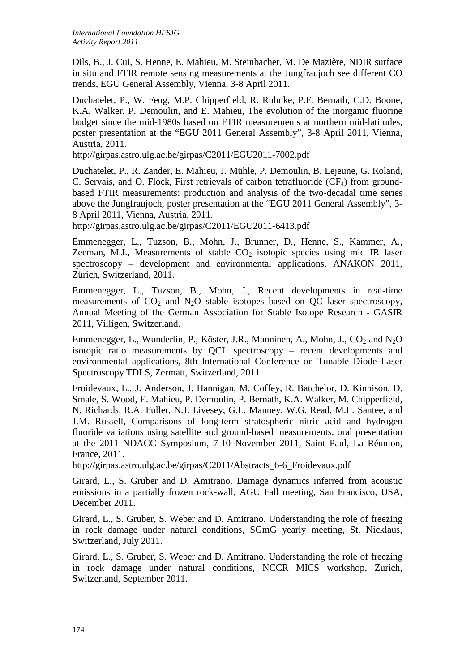Dils, B., J. Cui, S. Henne, E. Mahieu, M. Steinbacher, M. De Mazière, NDIR surface in situ and FTIR remote sensing measurements at the Jungfraujoch see different CO trends, EGU General Assembly, Vienna, 3-8 April 2011.

Duchatelet, P., W. Feng, M.P. Chipperfield, R. Ruhnke, P.F. Bernath, C.D. Boone, K.A. Walker, P. Demoulin, and E. Mahieu, The evolution of the inorganic fluorine budget since the mid-1980s based on FTIR measurements at northern mid-latitudes, poster presentation at the "EGU 2011 General Assembly", 3-8 April 2011, Vienna, Austria, 2011.

http://girpas.astro.ulg.ac.be/girpas/C2011/EGU2011-7002.pdf

Duchatelet, P., R. Zander, E. Mahieu, J. Mühle, P. Demoulin, B. Lejeune, G. Roland, C. Servais, and O. Flock, First retrievals of carbon tetrafluoride  $(CF_4)$  from groundbased FTIR measurements: production and analysis of the two-decadal time series above the Jungfraujoch, poster presentation at the "EGU 2011 General Assembly", 3- 8 April 2011, Vienna, Austria, 2011.

http://girpas.astro.ulg.ac.be/girpas/C2011/EGU2011-6413.pdf

Emmenegger, L., Tuzson, B., Mohn, J., Brunner, D., Henne, S., Kammer, A., Zeeman, M.J., Measurements of stable  $CO<sub>2</sub>$  isotopic species using mid IR laser spectroscopy – development and environmental applications, ANAKON 2011, Zürich, Switzerland, 2011.

Emmenegger, L., Tuzson, B., Mohn, J., Recent developments in real-time measurements of  $CO<sub>2</sub>$  and N<sub>2</sub>O stable isotopes based on QC laser spectroscopy, Annual Meeting of the German Association for Stable Isotope Research - GASIR 2011, Villigen, Switzerland.

Emmenegger, L., Wunderlin, P., Köster, J.R., Manninen, A., Mohn, J.,  $CO_2$  and  $N_2O$ isotopic ratio measurements by QCL spectroscopy – recent developments and environmental applications, 8th International Conference on Tunable Diode Laser Spectroscopy TDLS, Zermatt, Switzerland, 2011.

Froidevaux, L., J. Anderson, J. Hannigan, M. Coffey, R. Batchelor, D. Kinnison, D. Smale, S. Wood, E. Mahieu, P. Demoulin, P. Bernath, K.A. Walker, M. Chipperfield, N. Richards, R.A. Fuller, N.J. Livesey, G.L. Manney, W.G. Read, M.L. Santee, and J.M. Russell, Comparisons of long-term stratospheric nitric acid and hydrogen fluoride variations using satellite and ground-based measurements, oral presentation at the 2011 NDACC Symposium, 7-10 November 2011, Saint Paul, La Réunion, France, 2011.

http://girpas.astro.ulg.ac.be/girpas/C2011/Abstracts\_6-6\_Froidevaux.pdf

Girard, L., S. Gruber and D. Amitrano. Damage dynamics inferred from acoustic emissions in a partially frozen rock-wall, AGU Fall meeting, San Francisco, USA, December 2011.

Girard, L., S. Gruber, S. Weber and D. Amitrano. Understanding the role of freezing in rock damage under natural conditions, SGmG yearly meeting, St. Nicklaus, Switzerland, July 2011.

Girard, L., S. Gruber, S. Weber and D. Amitrano. Understanding the role of freezing in rock damage under natural conditions, NCCR MICS workshop, Zurich, Switzerland, September 2011.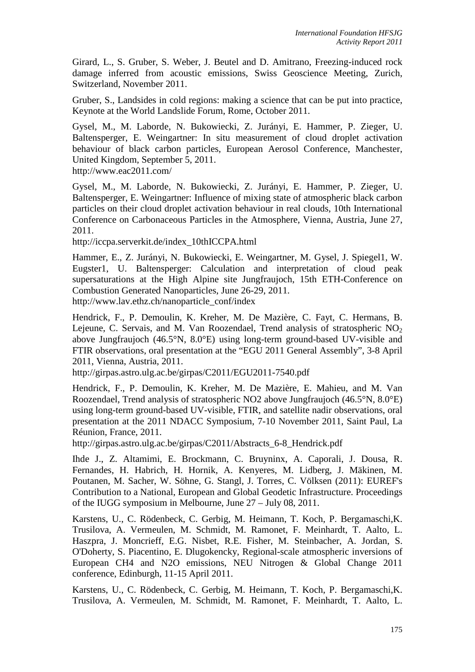Girard, L., S. Gruber, S. Weber, J. Beutel and D. Amitrano, Freezing-induced rock damage inferred from acoustic emissions, Swiss Geoscience Meeting, Zurich, Switzerland, November 2011.

Gruber, S., Landsides in cold regions: making a science that can be put into practice, Keynote at the World Landslide Forum, Rome, October 2011.

Gysel, M., M. Laborde, N. Bukowiecki, Z. Jurányi, E. Hammer, P. Zieger, U. Baltensperger, E. Weingartner: In situ measurement of cloud droplet activation behaviour of black carbon particles, European Aerosol Conference, Manchester, United Kingdom, September 5, 2011.

http://www.eac2011.com/

Gysel, M., M. Laborde, N. Bukowiecki, Z. Jurányi, E. Hammer, P. Zieger, U. Baltensperger, E. Weingartner: Influence of mixing state of atmospheric black carbon particles on their cloud droplet activation behaviour in real clouds, 10th International Conference on Carbonaceous Particles in the Atmosphere, Vienna, Austria, June 27, 2011.

http://iccpa.serverkit.de/index\_10thICCPA.html

Hammer, E., Z. Jurányi, N. Bukowiecki, E. Weingartner, M. Gysel, J. Spiegel1, W. Eugster1, U. Baltensperger: Calculation and interpretation of cloud peak supersaturations at the High Alpine site Jungfraujoch, 15th ETH-Conference on Combustion Generated Nanoparticles, June 26-29, 2011.

http://www.lav.ethz.ch/nanoparticle\_conf/index

Hendrick, F., P. Demoulin, K. Kreher, M. De Mazière, C. Fayt, C. Hermans, B. Lejeune, C. Servais, and M. Van Roozendael, Trend analysis of stratospheric  $NO<sub>2</sub>$ above Jungfraujoch (46.5°N, 8.0°E) using long-term ground-based UV-visible and FTIR observations, oral presentation at the "EGU 2011 General Assembly", 3-8 April 2011, Vienna, Austria, 2011.

http://girpas.astro.ulg.ac.be/girpas/C2011/EGU2011-7540.pdf

Hendrick, F., P. Demoulin, K. Kreher, M. De Mazière, E. Mahieu, and M. Van Roozendael, Trend analysis of stratospheric NO2 above Jungfraujoch (46.5°N, 8.0°E) using long-term ground-based UV-visible, FTIR, and satellite nadir observations, oral presentation at the 2011 NDACC Symposium, 7-10 November 2011, Saint Paul, La Réunion, France, 2011.

http://girpas.astro.ulg.ac.be/girpas/C2011/Abstracts\_6-8\_Hendrick.pdf

Ihde J., Z. Altamimi, E. Brockmann, C. Bruyninx, A. Caporali, J. Dousa, R. Fernandes, H. Habrich, H. Hornik, A. Kenyeres, M. Lidberg, J. Mäkinen, M. Poutanen, M. Sacher, W. Söhne, G. Stangl, J. Torres, C. Völksen (2011): EUREF's Contribution to a National, European and Global Geodetic Infrastructure. Proceedings of the IUGG symposium in Melbourne, June 27 – July 08, 2011.

Karstens, U., C. Rödenbeck, C. Gerbig, M. Heimann, T. Koch, P. Bergamaschi,K. Trusilova, A. Vermeulen, M. Schmidt, M. Ramonet, F. Meinhardt, T. Aalto, L. Haszpra, J. Moncrieff, E.G. Nisbet, R.E. Fisher, M. Steinbacher, A. Jordan, S. O'Doherty, S. Piacentino, E. Dlugokencky, Regional-scale atmospheric inversions of European CH4 and N2O emissions, NEU Nitrogen & Global Change 2011 conference, Edinburgh, 11-15 April 2011.

Karstens, U., C. Rödenbeck, C. Gerbig, M. Heimann, T. Koch, P. Bergamaschi,K. Trusilova, A. Vermeulen, M. Schmidt, M. Ramonet, F. Meinhardt, T. Aalto, L.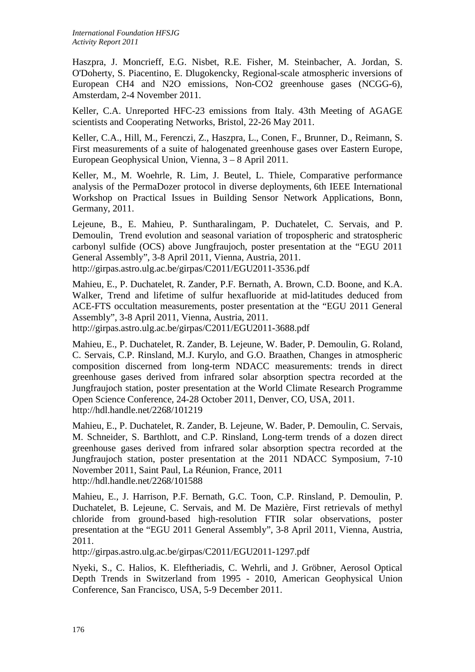Haszpra, J. Moncrieff, E.G. Nisbet, R.E. Fisher, M. Steinbacher, A. Jordan, S. O'Doherty, S. Piacentino, E. Dlugokencky, Regional-scale atmospheric inversions of European CH4 and N2O emissions, Non-CO2 greenhouse gases (NCGG-6), Amsterdam, 2-4 November 2011.

Keller, C.A. Unreported HFC-23 emissions from Italy. 43th Meeting of AGAGE scientists and Cooperating Networks, Bristol, 22-26 May 2011.

Keller, C.A., Hill, M., Ferenczi, Z., Haszpra, L., Conen, F., Brunner, D., Reimann, S. First measurements of a suite of halogenated greenhouse gases over Eastern Europe, European Geophysical Union, Vienna, 3 – 8 April 2011.

Keller, M., M. Woehrle, R. Lim, J. Beutel, L. Thiele, Comparative performance analysis of the PermaDozer protocol in diverse deployments, 6th IEEE International Workshop on Practical Issues in Building Sensor Network Applications, Bonn, Germany, 2011.

Lejeune, B., E. Mahieu, P. Suntharalingam, P. Duchatelet, C. Servais, and P. Demoulin, Trend evolution and seasonal variation of tropospheric and stratospheric carbonyl sulfide (OCS) above Jungfraujoch, poster presentation at the "EGU 2011 General Assembly", 3-8 April 2011, Vienna, Austria, 2011. http://girpas.astro.ulg.ac.be/girpas/C2011/EGU2011-3536.pdf

Mahieu, E., P. Duchatelet, R. Zander, P.F. Bernath, A. Brown, C.D. Boone, and K.A. Walker, Trend and lifetime of sulfur hexafluoride at mid-latitudes deduced from ACE-FTS occultation measurements, poster presentation at the "EGU 2011 General Assembly", 3-8 April 2011, Vienna, Austria, 2011.

http://girpas.astro.ulg.ac.be/girpas/C2011/EGU2011-3688.pdf

Mahieu, E., P. Duchatelet, R. Zander, B. Lejeune, W. Bader, P. Demoulin, G. Roland, C. Servais, C.P. Rinsland, M.J. Kurylo, and G.O. Braathen, Changes in atmospheric composition discerned from long-term NDACC measurements: trends in direct greenhouse gases derived from infrared solar absorption spectra recorded at the Jungfraujoch station, poster presentation at the World Climate Research Programme Open Science Conference, 24-28 October 2011, Denver, CO, USA, 2011. http://hdl.handle.net/2268/101219

Mahieu, E., P. Duchatelet, R. Zander, B. Lejeune, W. Bader, P. Demoulin, C. Servais, M. Schneider, S. Barthlott, and C.P. Rinsland, Long-term trends of a dozen direct greenhouse gases derived from infrared solar absorption spectra recorded at the Jungfraujoch station, poster presentation at the 2011 NDACC Symposium, 7-10 November 2011, Saint Paul, La Réunion, France, 2011 http://hdl.handle.net/2268/101588

Mahieu, E., J. Harrison, P.F. Bernath, G.C. Toon, C.P. Rinsland, P. Demoulin, P. Duchatelet, B. Lejeune, C. Servais, and M. De Mazière, First retrievals of methyl chloride from ground-based high-resolution FTIR solar observations, poster presentation at the "EGU 2011 General Assembly", 3-8 April 2011, Vienna, Austria, 2011.

<http://girpas.astro.ulg.ac.be/girpas/C2011/EGU2011-1297.pdf>

Nyeki, S., C. Halios, K. Eleftheriadis, C. Wehrli, and J. Gröbner, Aerosol Optical Depth Trends in Switzerland from 1995 - 2010, American Geophysical Union Conference, San Francisco, USA, 5-9 December 2011.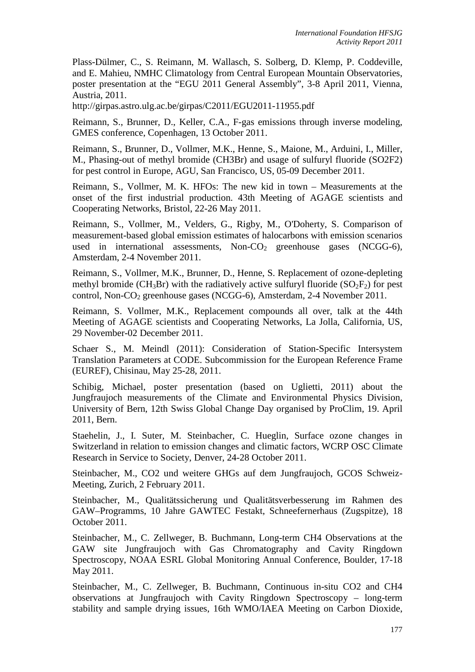Plass-Dülmer, C., S. Reimann, M. Wallasch, S. Solberg, D. Klemp, P. Coddeville, and E. Mahieu, NMHC Climatology from Central European Mountain Observatories, poster presentation at the "EGU 2011 General Assembly", 3-8 April 2011, Vienna, Austria, 2011.

http://girpas.astro.ulg.ac.be/girpas/C2011/EGU2011-11955.pdf

Reimann, S., Brunner, D., Keller, C.A., F-gas emissions through inverse modeling, GMES conference, Copenhagen, 13 October 2011.

Reimann, S., Brunner, D., Vollmer, M.K., Henne, S., Maione, M., Arduini, I., Miller, M., Phasing-out of methyl bromide (CH3Br) and usage of sulfuryl fluoride (SO2F2) for pest control in Europe, AGU, San Francisco, US, 05-09 December 2011.

Reimann, S., Vollmer, M. K. HFOs: The new kid in town – Measurements at the onset of the first industrial production. 43th Meeting of AGAGE scientists and Cooperating Networks, Bristol, 22-26 May 2011.

Reimann, S., Vollmer, M., Velders, G., Rigby, M., O'Doherty, S. Comparison of measurement-based global emission estimates of halocarbons with emission scenarios used in international assessments,  $Non-CO<sub>2</sub>$  greenhouse gases (NCGG-6), Amsterdam, 2-4 November 2011.

Reimann, S., Vollmer, M.K., Brunner, D., Henne, S. Replacement of ozone-depleting methyl bromide ( $CH_3Br$ ) with the radiatively active sulfuryl fluoride ( $SO_2F_2$ ) for pest control, Non-CO<sub>2</sub> greenhouse gases (NCGG-6), Amsterdam, 2-4 November 2011.

Reimann, S. Vollmer, M.K., Replacement compounds all over, talk at the 44th Meeting of AGAGE scientists and Cooperating Networks, La Jolla, California, US, 29 November-02 December 2011.

Schaer S., M. Meindl (2011): Consideration of Station-Specific Intersystem Translation Parameters at CODE. Subcommission for the European Reference Frame (EUREF), Chisinau, May 25-28, 2011.

Schibig, Michael, poster presentation (based on Uglietti, 2011) about the Jungfraujoch measurements of the Climate and Environmental Physics Division, University of Bern, 12th Swiss Global Change Day organised by ProClim, 19. April 2011, Bern.

Staehelin, J., I. Suter, M. Steinbacher, C. Hueglin, Surface ozone changes in Switzerland in relation to emission changes and climatic factors, WCRP OSC Climate Research in Service to Society, Denver, 24-28 October 2011.

Steinbacher, M., CO2 und weitere GHGs auf dem Jungfraujoch, GCOS Schweiz-Meeting, Zurich, 2 February 2011.

Steinbacher, M., Qualitätssicherung und Qualitätsverbesserung im Rahmen des GAW–Programms, 10 Jahre GAWTEC Festakt, Schneefernerhaus (Zugspitze), 18 October 2011.

Steinbacher, M., C. Zellweger, B. Buchmann, Long-term CH4 Observations at the GAW site Jungfraujoch with Gas Chromatography and Cavity Ringdown Spectroscopy, NOAA ESRL Global Monitoring Annual Conference, Boulder, 17-18 May 2011.

Steinbacher, M., C. Zellweger, B. Buchmann, Continuous in-situ CO2 and CH4 observations at Jungfraujoch with Cavity Ringdown Spectroscopy – long-term stability and sample drying issues, 16th WMO/IAEA Meeting on Carbon Dioxide,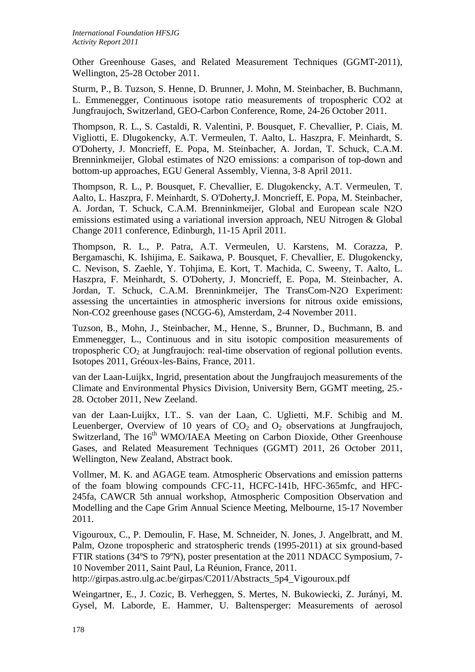Other Greenhouse Gases, and Related Measurement Techniques (GGMT-2011), Wellington, 25-28 October 2011.

Sturm, P., B. Tuzson, S. Henne, D. Brunner, J. Mohn, M. Steinbacher, B. Buchmann, L. Emmenegger, Continuous isotope ratio measurements of tropospheric CO2 at Jungfraujoch, Switzerland, GEO-Carbon Conference, Rome, 24-26 October 2011.

Thompson, R. L., S. Castaldi, R. Valentini, P. Bousquet, F. Chevallier, P. Ciais, M. Vigliotti, E. Dlugokencky, A.T. Vermeulen, T. Aalto, L. Haszpra, F. Meinhardt, S. O'Doherty, J. Moncrieff, E. Popa, M. Steinbacher, A. Jordan, T. Schuck, C.A.M. Brenninkmeijer, Global estimates of N2O emissions: a comparison of top-down and bottom-up approaches, EGU General Assembly, Vienna, 3-8 April 2011.

Thompson, R. L., P. Bousquet, F. Chevallier, E. Dlugokencky, A.T. Vermeulen, T. Aalto, L. Haszpra, F. Meinhardt, S. O'Doherty,J. Moncrieff, E. Popa, M. Steinbacher, A. Jordan, T. Schuck, C.A.M. Brenninkmeijer, Global and European scale N2O emissions estimated using a variational inversion approach, NEU Nitrogen & Global Change 2011 conference, Edinburgh, 11-15 April 2011.

Thompson, R. L., P. Patra, A.T. Vermeulen, U. Karstens, M. Corazza, P. Bergamaschi, K. Ishijima, E. Saikawa, P. Bousquet, F. Chevallier, E. Dlugokencky, C. Nevison, S. Zaehle, Y. Tohjima, E. Kort, T. Machida, C. Sweeny, T. Aalto, L. Haszpra, F. Meinhardt, S. O'Doherty, J. Moncrieff, E. Popa, M. Steinbacher, A. Jordan, T. Schuck, C.A.M. Brenninkmeijer, The TransCom-N2O Experiment: assessing the uncertainties in atmospheric inversions for nitrous oxide emissions, Non-CO2 greenhouse gases (NCGG-6), Amsterdam, 2-4 November 2011.

Tuzson, B., Mohn, J., Steinbacher, M., Henne, S., Brunner, D., Buchmann, B. and Emmenegger, L., Continuous and in situ isotopic composition measurements of tropospheric  $CO<sub>2</sub>$  at Jungfraujoch: real-time observation of regional pollution events. Isotopes 2011, Gréoux-les-Bains, France, 2011.

van der Laan-Luijkx, Ingrid, presentation about the Jungfraujoch measurements of the Climate and Environmental Physics Division, University Bern, GGMT meeting, 25.- 28. October 2011, New Zeeland.

van der Laan-Luijkx, I.T.. S. van der Laan, C. Uglietti, M.F. Schibig and M. Leuenberger, Overview of 10 years of  $CO<sub>2</sub>$  and  $O<sub>2</sub>$  observations at Jungfraujoch, Switzerland, The 16<sup>th</sup> WMO/IAEA Meeting on Carbon Dioxide, Other Greenhouse Gases, and Related Measurement Techniques (GGMT) 2011, 26 October 2011, Wellington, New Zealand, Abstract book.

Vollmer, M. K. and AGAGE team. Atmospheric Observations and emission patterns of the foam blowing compounds CFC-11, HCFC-141b, HFC-365mfc, and HFC-245fa, CAWCR 5th annual workshop, Atmospheric Composition Observation and Modelling and the Cape Grim Annual Science Meeting, Melbourne, 15-17 November 2011.

Vigouroux, C., P. Demoulin, F. Hase, M. Schneider, N. Jones, J. Angelbratt, and M. Palm, Ozone tropospheric and stratospheric trends (1995-2011) at six ground-based FTIR stations (34ºS to 79ºN), poster presentation at the 2011 NDACC Symposium, 7- 10 November 2011, Saint Paul, La Réunion, France, 2011.

http://girpas.astro.ulg.ac.be/girpas/C2011/Abstracts\_5p4\_Vigouroux.pdf

Weingartner, E., J. Cozic, B. Verheggen, S. Mertes, N. Bukowiecki, Z. Jurányi, M. Gysel, M. Laborde, E. Hammer, U. Baltensperger: Measurements of aerosol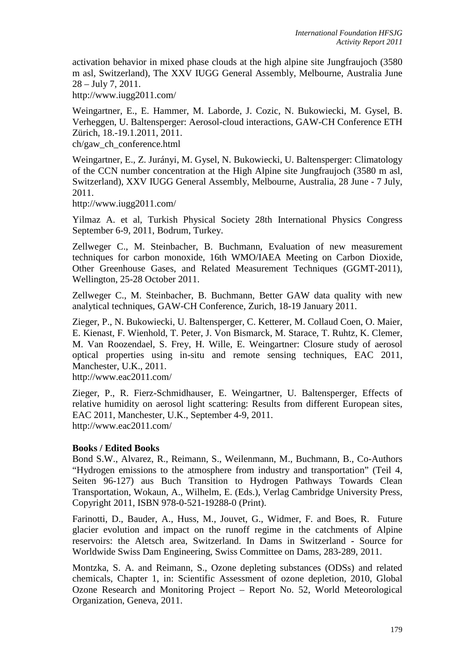activation behavior in mixed phase clouds at the high alpine site Jungfraujoch (3580 m asl, Switzerland), The XXV IUGG General Assembly, Melbourne, Australia June 28 – July 7, 2011.

http://www.iugg2011.com/

Weingartner, E., E. Hammer, M. Laborde, J. Cozic, N. Bukowiecki, M. Gysel, B. Verheggen, U. Baltensperger: Aerosol-cloud interactions, GAW-CH Conference ETH Zürich, 18.-19.1.2011, 2011.

ch/gaw\_ch\_conference.html

Weingartner, E., Z. Jurányi, M. Gysel, N. Bukowiecki, U. Baltensperger: Climatology of the CCN number concentration at the High Alpine site Jungfraujoch (3580 m asl, Switzerland), XXV IUGG General Assembly, Melbourne, Australia, 28 June - 7 July, 2011.

http://www.iugg2011.com/

Yilmaz A. et al, Turkish Physical Society 28th International Physics Congress September 6-9, 2011, Bodrum, Turkey.

Zellweger C., M. Steinbacher, B. Buchmann, Evaluation of new measurement techniques for carbon monoxide, 16th WMO/IAEA Meeting on Carbon Dioxide, Other Greenhouse Gases, and Related Measurement Techniques (GGMT-2011), Wellington, 25-28 October 2011.

Zellweger C., M. Steinbacher, B. Buchmann, Better GAW data quality with new analytical techniques, GAW-CH Conference, Zurich, 18-19 January 2011.

Zieger, P., N. Bukowiecki, U. Baltensperger, C. Ketterer, M. Collaud Coen, O. Maier, E. Kienast, F. Wienhold, T. Peter, J. Von Bismarck, M. Starace, T. Ruhtz, K. Clemer, M. Van Roozendael, S. Frey, H. Wille, E. Weingartner: Closure study of aerosol optical properties using in-situ and remote sensing techniques, EAC 2011, Manchester, U.K., 2011.

http://www.eac2011.com/

Zieger, P., R. Fierz-Schmidhauser, E. Weingartner, U. Baltensperger, Effects of relative humidity on aerosol light scattering: Results from different European sites, EAC 2011, Manchester, U.K., September 4-9, 2011. http://www.eac2011.com/

#### **Books / Edited Books**

Bond S.W., Alvarez, R., Reimann, S., Weilenmann, M., Buchmann, B., Co-Authors "Hydrogen emissions to the atmosphere from industry and transportation" (Teil 4, Seiten 96-127) aus Buch Transition to Hydrogen Pathways Towards Clean Transportation, Wokaun, A., Wilhelm, E. (Eds.), Verlag Cambridge University Press, Copyright 2011, ISBN 978-0-521-19288-0 (Print).

Farinotti, D., Bauder, A., Huss, M., Jouvet, G., Widmer, F. and Boes, R. Future glacier evolution and impact on the runoff regime in the catchments of Alpine reservoirs: the Aletsch area, Switzerland. In Dams in Switzerland - Source for Worldwide Swiss Dam Engineering, Swiss Committee on Dams, 283-289, 2011.

Montzka, S. A. and Reimann, S., Ozone depleting substances (ODSs) and related chemicals, Chapter 1, in: Scientific Assessment of ozone depletion, 2010, Global Ozone Research and Monitoring Project – Report No. 52, World Meteorological Organization, Geneva, 2011.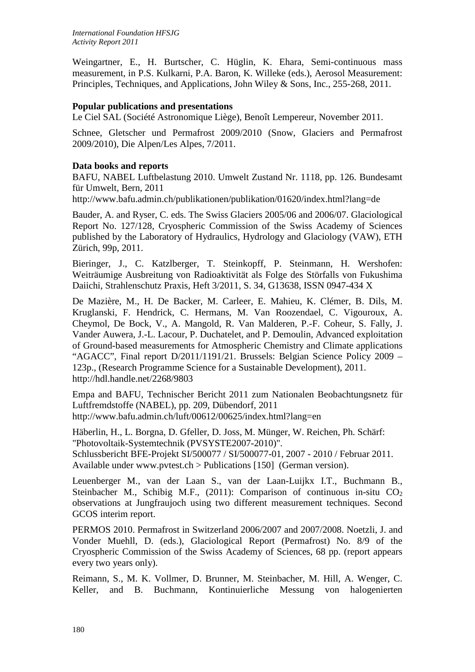Weingartner, E., H. Burtscher, C. Hüglin, K. Ehara, Semi-continuous mass measurement, in P.S. Kulkarni, P.A. Baron, K. Willeke (eds.), Aerosol Measurement: Principles, Techniques, and Applications, John Wiley & Sons, Inc., 255-268, 2011.

## **Popular publications and presentations**

Le Ciel SAL (Société Astronomique Liège), Benoît Lempereur, November 2011.

Schnee, Gletscher und Permafrost 2009/2010 (Snow, Glaciers and Permafrost 2009/2010), Die Alpen/Les Alpes, 7/2011.

### **Data books and reports**

BAFU, NABEL Luftbelastung 2010. Umwelt Zustand Nr. 1118, pp. 126. Bundesamt für Umwelt, Bern, 2011

http://www.bafu.admin.ch/publikationen/publikation/01620/index.html?lang=de

Bauder, A. and Ryser, C. eds. The Swiss Glaciers 2005/06 and 2006/07. Glaciological Report No. 127/128, Cryospheric Commission of the Swiss Academy of Sciences published by the Laboratory of Hydraulics, Hydrology and Glaciology (VAW), ETH Zürich, 99p, 2011.

Bieringer, J., C. Katzlberger, T. Steinkopff, P. Steinmann, H. Wershofen: Weiträumige Ausbreitung von Radioaktivität als Folge des Störfalls von Fukushima Daiichi, Strahlenschutz Praxis, Heft 3/2011, S. 34, G13638, ISSN 0947-434 X

De Mazière, M., H. De Backer, M. Carleer, E. Mahieu, K. Clémer, B. Dils, M. Kruglanski, F. Hendrick, C. Hermans, M. Van Roozendael, C. Vigouroux, A. Cheymol, De Bock, V., A. Mangold, R. Van Malderen, P.-F. Coheur, S. Fally, J. Vander Auwera, J.-L. Lacour, P. Duchatelet, and P. Demoulin, Advanced exploitation of Ground-based measurements for Atmospheric Chemistry and Climate applications "AGACC", Final report D/2011/1191/21. Brussels: Belgian Science Policy 2009 – 123p., (Research Programme Science for a Sustainable Development), 2011. http://hdl.handle.net/2268/9803

Empa and BAFU, Technischer Bericht 2011 zum Nationalen Beobachtungsnetz für Luftfremdstoffe (NABEL), pp. 209, Dübendorf, 2011 http://www.bafu.admin.ch/luft/00612/00625/index.html?lang=en

Häberlin, H., L. Borgna, D. Gfeller, D. Joss, M. Münger, W. Reichen, Ph. Schärf: "Photovoltaik-Systemtechnik (PVSYSTE2007-2010)". Schlussbericht BFE-Projekt SI/500077 / SI/500077-01, 2007 - 2010 / Februar 2011.

Available under www.pvtest.ch > Publications [150] (German version).

Leuenberger M., van der Laan S., van der Laan-Luijkx I.T., Buchmann B., Steinbacher M., Schibig M.F., (2011): Comparison of continuous in-situ  $CO<sub>2</sub>$ observations at Jungfraujoch using two different measurement techniques. Second GCOS interim report.

PERMOS 2010. Permafrost in Switzerland 2006/2007 and 2007/2008. Noetzli, J. and Vonder Muehll, D. (eds.), Glaciological Report (Permafrost) No. 8/9 of the Cryospheric Commission of the Swiss Academy of Sciences, 68 pp. (report appears every two years only).

Reimann, S., M. K. Vollmer, D. Brunner, M. Steinbacher, M. Hill, A. Wenger, C. Keller, and B. Buchmann, Kontinuierliche Messung von halogenierten